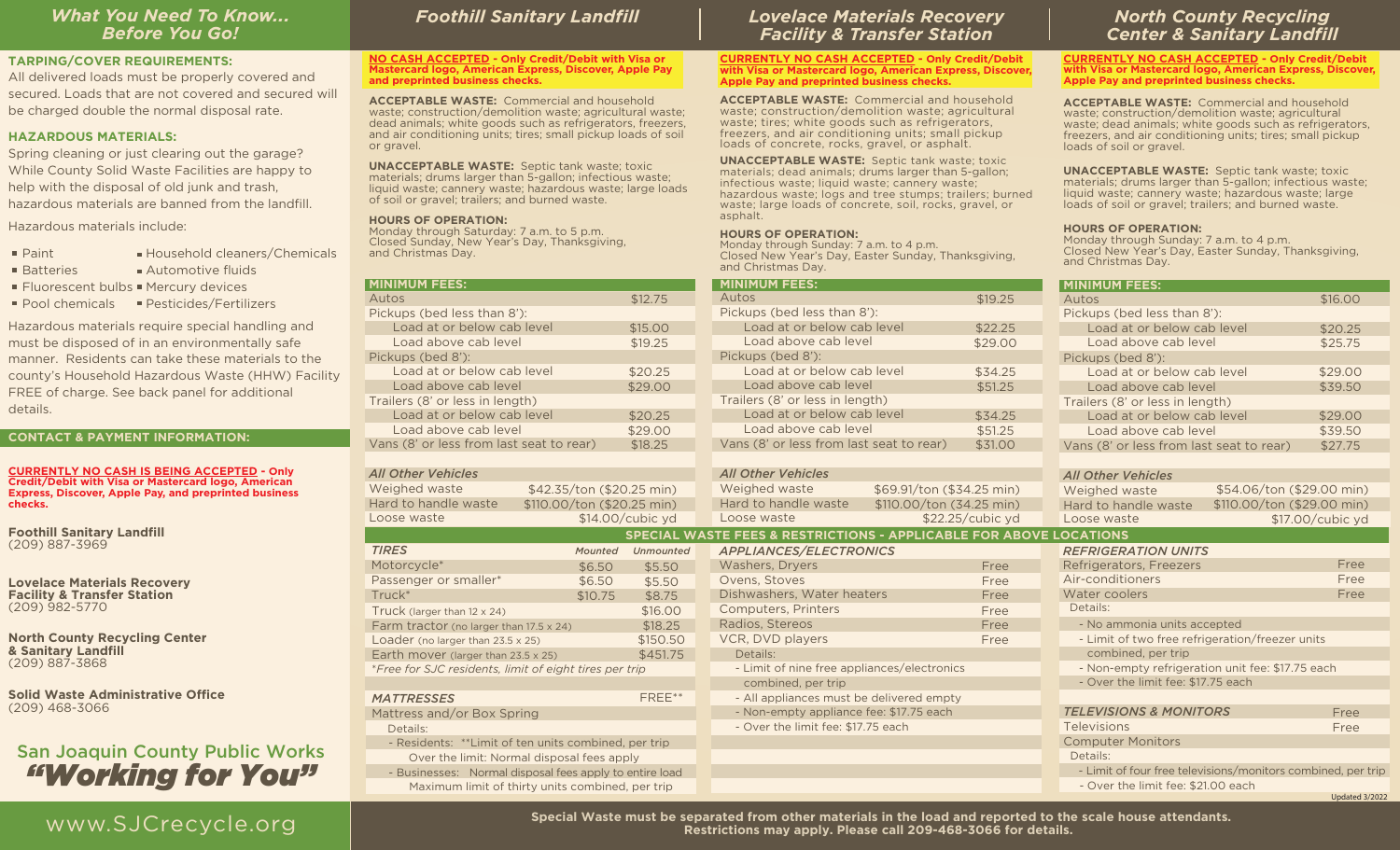## *What You Need To Know... Before You Go!*

#### **TARPING/COVER REQUIREMENTS:**

All delivered loads must be properly covered and secured. Loads that are not covered and secured will be charged double the normal disposal rate.

## **HAZARDOUS MATERIALS:**

Spring cleaning or just clearing out the garage? While County Solid Waste Facilities are happy to help with the disposal of old junk and trash, hazardous materials are banned from the landfill.

Hazardous materials include:

- $\blacksquare$  Paint Household cleaners/Chemicals
- **Batteries Automotive fluids**
- Fluorescent bulbs Mercury devices
- Pool chemicals ■ Pesticides/Fertilizers

Hazardous materials require special handling and must be disposed of in an environmentally safe manner. Residents can take these materials to the county's Household Hazardous Waste (HHW) Facility FREE of charge. See back panel for additional details.

## **CONTACT & PAYMENT INFORMATION:**

**CURRENTLY NO CASH IS BEING ACCEPTED - Only Credit/Debit with Visa or Mastercard logo, American Express, Discover, Apple Pay, and preprinted business checks.**

**Foothill Sanitary Landfill**  (209) 887-3969

**Lovelace Materials Recovery Facility & Transfer Station**  (209) 982-5770

**North County Recycling Center & Sanitary Landfill** (209) 887-3868

**Solid Waste Administrative Office** (209) 468-3066

## San Joaquin County Public Works *"Working for You"*

## *Foothill Sanitary Landfill*

**NO CASH ACCEPTED - Only Credit/Debit with Visa or Mastercard logo, American Express, Discover, Apple Pay and preprinted business checks.**

**ACCEPTABLE WASTE:** Commercial and household waste; construction/demolition waste; agricultural waste; dead animals; white goods such as refrigerators, freezers, and air conditioning units; tires; small pickup loads of soil or gravel.

**UNACCEPTABLE WASTE:** Septic tank waste; toxic materials; drums larger than 5-gallon; infectious waste; liquid waste; cannery waste; hazardous waste; large loads of soil or gravel; trailers; and burned waste.

 - Businesses: Normal disposal fees apply to entire load Maximum limit of thirty units combined, per trip

## **HOURS OF OPERATION:**

Monday through Saturday: 7 a.m. to 5 p.m. Closed Sunday, New Year's Day, Thanksgiving, and Christmas Day.

|                                                        |         |                           | and Christmas Day.                                        |                   |  |
|--------------------------------------------------------|---------|---------------------------|-----------------------------------------------------------|-------------------|--|
| <b>MINIMUM FEES:</b>                                   |         |                           | <b>MINIMUM FEES:</b>                                      |                   |  |
| Autos                                                  |         | \$12.75                   | Autos                                                     |                   |  |
| Pickups (bed less than 8'):                            |         |                           | Pickups (bed less than 8'):                               |                   |  |
| Load at or below cab level                             |         | \$15.00                   | Load at or below cab level                                |                   |  |
| Load above cab level                                   |         | \$19.25                   | Load above cab level                                      |                   |  |
| Pickups (bed 8'):                                      |         |                           | Pickups (bed 8'):                                         |                   |  |
| Load at or below cab level                             |         | \$20.25                   | Load at or below cab level                                |                   |  |
| Load above cab level                                   |         | \$29.00                   | Load above cab level                                      |                   |  |
| Trailers (8' or less in length)                        |         |                           | Trailers (8' or less in length)                           |                   |  |
| Load at or below cab level                             |         | \$20.25                   | Load at or below cab level                                |                   |  |
| Load above cab level                                   |         | \$29.00                   | Load above cab level                                      |                   |  |
| Vans (8' or less from last seat to rear)               |         | \$18.25                   | Vans (8' or less from last seat to rear)                  |                   |  |
|                                                        |         |                           |                                                           |                   |  |
| All Other Vehicles                                     |         |                           | <b>All Other Vehicles</b>                                 |                   |  |
| Weighed waste                                          |         | \$42.35/ton (\$20.25 min) | Weighed waste                                             | \$69.91/ton (\$34 |  |
| Hard to handle waste<br>\$110.00/ton (\$20.25 min)     |         |                           | Hard to handle waste                                      | \$110.00/ton (34  |  |
| Loose waste                                            |         | \$14.00/cubic yd          | Loose waste                                               | \$22.25/          |  |
|                                                        |         |                           | <b>SPECIAL WASTE FEES &amp; RESTRICTIONS - APPLICABLE</b> |                   |  |
| <b>TIRES</b>                                           | Mounted | <b>Unmounted</b>          | <b>APPLIANCES/ELECTRONICS</b>                             |                   |  |
| Motorcycle*                                            | \$6.50  | \$5.50                    | Washers, Dryers                                           |                   |  |
| Passenger or smaller*                                  | \$6.50  | \$5.50                    | Ovens, Stoves                                             |                   |  |
| Truck <sup>*</sup><br>\$10.75                          |         | \$8.75                    | Dishwashers, Water heaters                                |                   |  |
| Truck (larger than $12 \times 24$ )                    |         | \$16.00                   | <b>Computers, Printers</b>                                |                   |  |
| Farm tractor (no larger than 17.5 x 24)                |         | \$18.25                   | Radios, Stereos                                           |                   |  |
| Loader (no larger than $23.5 \times 25$ )              |         | \$150.50                  | VCR, DVD players                                          |                   |  |
| Earth mover (larger than 23.5 x 25)                    |         | \$451.75                  | Details:                                                  |                   |  |
| *Free for SJC residents, limit of eight tires per trip |         |                           | - Limit of nine free appliances/electronics               |                   |  |
|                                                        |         |                           | combined, per trip                                        |                   |  |
| <b>MATTRESSES</b>                                      |         | FREE**                    | - All appliances must be delivered empty                  |                   |  |
| Mattress and/or Box Spring                             |         |                           | - Non-empty appliance fee: \$17.75 each                   |                   |  |
| Details:                                               |         |                           | - Over the limit fee: \$17.75 each                        |                   |  |
| - Residents: ** Limit of ten units combined, per trip  |         |                           |                                                           |                   |  |
| Over the limit: Normal disposal fees apply             |         |                           |                                                           |                   |  |

## *Lovelace Materials Recovery Facility & Transfer Station*

#### **CURRENTLY NO CASH ACCEPTED - Only Credit/Debit with Visa or Mastercard logo, American Express, Discover, Apple Pay and preprinted business checks.**

**ACCEPTABLE WASTE:** Commercial and household waste; construction/demolition waste; agricultural waste; tires; white goods such as refrigerators, freezers, and air conditioning units; small pickup loads of concrete, rocks, gravel, or asphalt.

**UNACCEPTABLE WASTE:** Septic tank waste; toxic materials; dead animals; drums larger than 5-gallon; infectious waste; liquid waste; cannery waste; hazardous waste; logs and tree stumps; trailers; burned waste; large loads of concrete, soil, rocks, gravel, or asphalt.

#### **HOURS OF OPERATION:**

Monday through Sunday: 7 a.m. to 4 p.m. Closed New Year's Day, Easter Sunday, Thanksgiving, and Christmas Day.

| <b>North County Recycling</b><br><b>Center &amp; Sanitary Landfill</b> |
|------------------------------------------------------------------------|
| SENELVING CACILACCEPTED Cub. Cu. 39 /B. L                              |

**CURRENTLY NO CASH ACCEPTED - Only Credit/Debit with Visa or Mastercard logo, American Express, Discover, Apple Pay and preprinted business checks.**

**ACCEPTABLE WASTE:** Commercial and household waste; construction/demolition waste; agricultural waste; dead animals; white goods such as refrigerators, freezers, and air conditioning units; tires; small pickup loads of soil or gravel.

**UNACCEPTABLE WASTE:** Septic tank waste; toxic materials; drums larger than 5-gallon; infectious waste; liquid waste; cannery waste; hazardous waste; large loads of soil or gravel; trailers; and burned waste.

### **HOURS OF OPERATION:**

Monday through Sunday: 7 a.m. to 4 p.m. Closed New Year's Day, Easter Sunday, Thanksgiving, and Christmas Day.

|                    | <b>MINIMUM FEES:</b>                                               |                  | <b>MINIMUM FEES:</b>                                         |
|--------------------|--------------------------------------------------------------------|------------------|--------------------------------------------------------------|
| \$12.75            | Autos                                                              | \$19.25          | Autos<br>\$16.00                                             |
|                    | Pickups (bed less than 8'):                                        |                  | Pickups (bed less than 8'):                                  |
| \$15.00            | Load at or below cab level                                         | \$22.25          | Load at or below cab level<br>\$20.25                        |
| \$19.25            | Load above cab level                                               | \$29.00          | Load above cab level<br>\$25.75                              |
|                    | Pickups (bed 8'):                                                  |                  | Pickups (bed 8'):                                            |
| \$20.25            | Load at or below cab level                                         | \$34.25          | Load at or below cab level<br>\$29.00                        |
| \$29.00            | Load above cab level                                               | \$51.25          | \$39.50<br>Load above cab level                              |
|                    | Trailers (8' or less in length)                                    |                  | Trailers (8' or less in length)                              |
| \$20.25            | Load at or below cab level                                         | \$34.25          | \$29,00<br>Load at or below cab level                        |
| \$29.00            | Load above cab level                                               | \$51.25          | \$39.50<br>Load above cab level                              |
| \$18.25            | Vans (8' or less from last seat to rear)                           | \$31.00          | \$27.75<br>Vans (8' or less from last seat to rear)          |
|                    |                                                                    |                  |                                                              |
|                    | <b>All Other Vehicles</b>                                          |                  | <b>All Other Vehicles</b>                                    |
| $0.25$ min)        | Weighed waste<br>\$69.91/ton (\$34.25 min)                         |                  | \$54.06/ton (\$29.00 min)<br>Weighed waste                   |
| $0.25 \text{ min}$ | Hard to handle waste<br>\$110.00/ton (34.25 min)                   |                  | \$110.00/ton (\$29.00 min)<br>Hard to handle waste           |
| cubic yd           | Loose waste                                                        | \$22.25/cubic yd | \$17.00/cubic yd<br>Loose waste                              |
|                    | SPECIAL WASTE FEES & RESTRICTIONS - APPLICABLE FOR ABOVE LOCATIONS |                  |                                                              |
| <b>Unmounted</b>   | <b>APPLIANCES/ELECTRONICS</b>                                      |                  | <b>REFRIGERATION UNITS</b>                                   |
| \$5.50             | Washers, Dryers                                                    | Free             | Refrigerators, Freezers<br>Free                              |
| \$5.50             | Ovens, Stoves                                                      | Free             | Air-conditioners<br>Free                                     |
| \$8.75             | Dishwashers, Water heaters                                         | Free             | Water coolers<br>Free                                        |
| \$16.00            | <b>Computers, Printers</b>                                         | Free             | Details:                                                     |
| \$18.25            | Radios, Stereos                                                    | Free             | - No ammonia units accepted                                  |
| \$150.50           | VCR, DVD players                                                   | Free             | - Limit of two free refrigeration/freezer units              |
| \$451.75           | Details:                                                           |                  | combined, per trip                                           |
| trip               | - Limit of nine free appliances/electronics                        |                  | - Non-empty refrigeration unit fee: \$17.75 each             |
|                    | combined, per trip                                                 |                  | - Over the limit fee: \$17.75 each                           |
| FREE**             | - All appliances must be delivered empty                           |                  |                                                              |
|                    | - Non-empty appliance fee: \$17.75 each                            |                  | <b>TELEVISIONS &amp; MONITORS</b><br>Free                    |
|                    | - Over the limit fee: \$17.75 each                                 |                  | Televisions<br>Free                                          |
| per trip           |                                                                    |                  | <b>Computer Monitors</b>                                     |
| olv                |                                                                    |                  | Details:                                                     |
| entire load        |                                                                    |                  | - Limit of four free televisions/monitors combined, per trip |
| per trip           |                                                                    |                  | - Over the limit fee: \$21.00 each                           |
|                    |                                                                    |                  | Updated 3/2022                                               |

WWW.SJCrecycle.org **Special Waste must be separated from other materials in the load and reported to the scale house attendants. Restrictions may apply. Please call 209-468-3066 for details.**